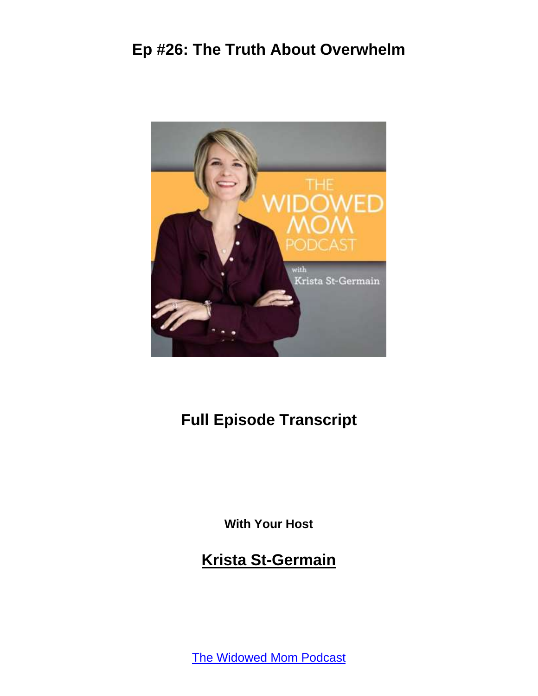

## **Full Episode Transcript**

**With Your Host**

**Krista St-Germain**

[The Widowed Mom Podcast](https://coachingwithkrista.com/podcast)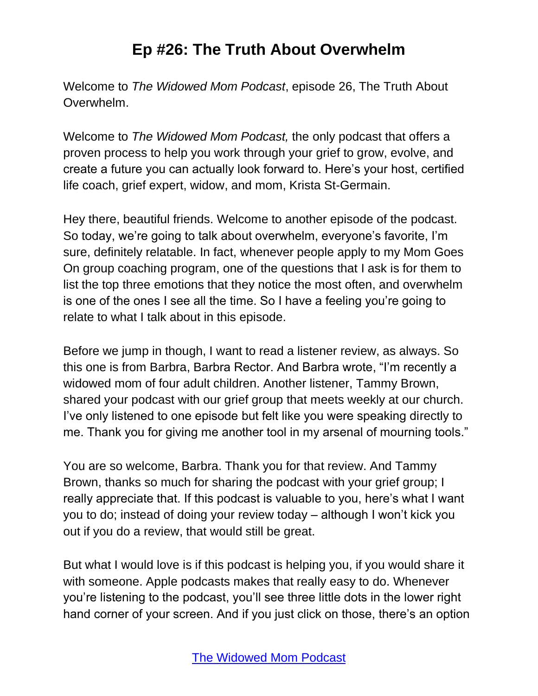Welcome to *The Widowed Mom Podcast*, episode 26, The Truth About Overwhelm.

Welcome to *The Widowed Mom Podcast,* the only podcast that offers a proven process to help you work through your grief to grow, evolve, and create a future you can actually look forward to. Here's your host, certified life coach, grief expert, widow, and mom, Krista St-Germain.

Hey there, beautiful friends. Welcome to another episode of the podcast. So today, we're going to talk about overwhelm, everyone's favorite, I'm sure, definitely relatable. In fact, whenever people apply to my Mom Goes On group coaching program, one of the questions that I ask is for them to list the top three emotions that they notice the most often, and overwhelm is one of the ones I see all the time. So I have a feeling you're going to relate to what I talk about in this episode.

Before we jump in though, I want to read a listener review, as always. So this one is from Barbra, Barbra Rector. And Barbra wrote, "I'm recently a widowed mom of four adult children. Another listener, Tammy Brown, shared your podcast with our grief group that meets weekly at our church. I've only listened to one episode but felt like you were speaking directly to me. Thank you for giving me another tool in my arsenal of mourning tools."

You are so welcome, Barbra. Thank you for that review. And Tammy Brown, thanks so much for sharing the podcast with your grief group; I really appreciate that. If this podcast is valuable to you, here's what I want you to do; instead of doing your review today – although I won't kick you out if you do a review, that would still be great.

But what I would love is if this podcast is helping you, if you would share it with someone. Apple podcasts makes that really easy to do. Whenever you're listening to the podcast, you'll see three little dots in the lower right hand corner of your screen. And if you just click on those, there's an option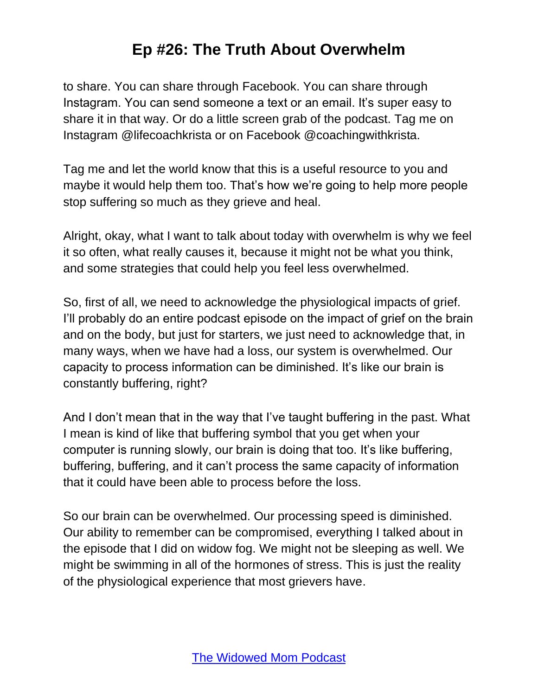to share. You can share through Facebook. You can share through Instagram. You can send someone a text or an email. It's super easy to share it in that way. Or do a little screen grab of the podcast. Tag me on Instagram @lifecoachkrista or on Facebook @coachingwithkrista.

Tag me and let the world know that this is a useful resource to you and maybe it would help them too. That's how we're going to help more people stop suffering so much as they grieve and heal.

Alright, okay, what I want to talk about today with overwhelm is why we feel it so often, what really causes it, because it might not be what you think, and some strategies that could help you feel less overwhelmed.

So, first of all, we need to acknowledge the physiological impacts of grief. I'll probably do an entire podcast episode on the impact of grief on the brain and on the body, but just for starters, we just need to acknowledge that, in many ways, when we have had a loss, our system is overwhelmed. Our capacity to process information can be diminished. It's like our brain is constantly buffering, right?

And I don't mean that in the way that I've taught buffering in the past. What I mean is kind of like that buffering symbol that you get when your computer is running slowly, our brain is doing that too. It's like buffering, buffering, buffering, and it can't process the same capacity of information that it could have been able to process before the loss.

So our brain can be overwhelmed. Our processing speed is diminished. Our ability to remember can be compromised, everything I talked about in the episode that I did on widow fog. We might not be sleeping as well. We might be swimming in all of the hormones of stress. This is just the reality of the physiological experience that most grievers have.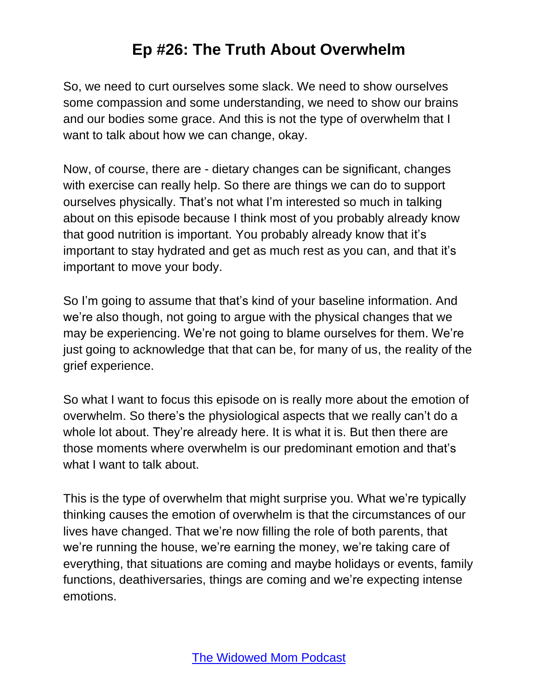So, we need to curt ourselves some slack. We need to show ourselves some compassion and some understanding, we need to show our brains and our bodies some grace. And this is not the type of overwhelm that I want to talk about how we can change, okay.

Now, of course, there are - dietary changes can be significant, changes with exercise can really help. So there are things we can do to support ourselves physically. That's not what I'm interested so much in talking about on this episode because I think most of you probably already know that good nutrition is important. You probably already know that it's important to stay hydrated and get as much rest as you can, and that it's important to move your body.

So I'm going to assume that that's kind of your baseline information. And we're also though, not going to argue with the physical changes that we may be experiencing. We're not going to blame ourselves for them. We're just going to acknowledge that that can be, for many of us, the reality of the grief experience.

So what I want to focus this episode on is really more about the emotion of overwhelm. So there's the physiological aspects that we really can't do a whole lot about. They're already here. It is what it is. But then there are those moments where overwhelm is our predominant emotion and that's what I want to talk about.

This is the type of overwhelm that might surprise you. What we're typically thinking causes the emotion of overwhelm is that the circumstances of our lives have changed. That we're now filling the role of both parents, that we're running the house, we're earning the money, we're taking care of everything, that situations are coming and maybe holidays or events, family functions, deathiversaries, things are coming and we're expecting intense emotions.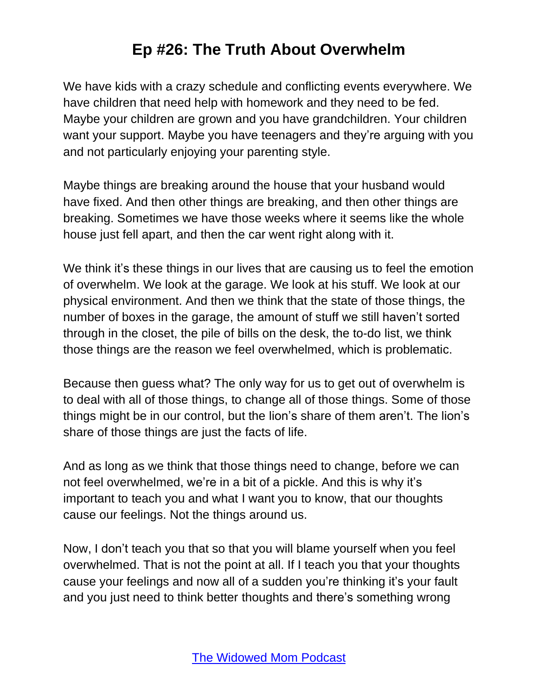We have kids with a crazy schedule and conflicting events everywhere. We have children that need help with homework and they need to be fed. Maybe your children are grown and you have grandchildren. Your children want your support. Maybe you have teenagers and they're arguing with you and not particularly enjoying your parenting style.

Maybe things are breaking around the house that your husband would have fixed. And then other things are breaking, and then other things are breaking. Sometimes we have those weeks where it seems like the whole house just fell apart, and then the car went right along with it.

We think it's these things in our lives that are causing us to feel the emotion of overwhelm. We look at the garage. We look at his stuff. We look at our physical environment. And then we think that the state of those things, the number of boxes in the garage, the amount of stuff we still haven't sorted through in the closet, the pile of bills on the desk, the to-do list, we think those things are the reason we feel overwhelmed, which is problematic.

Because then guess what? The only way for us to get out of overwhelm is to deal with all of those things, to change all of those things. Some of those things might be in our control, but the lion's share of them aren't. The lion's share of those things are just the facts of life.

And as long as we think that those things need to change, before we can not feel overwhelmed, we're in a bit of a pickle. And this is why it's important to teach you and what I want you to know, that our thoughts cause our feelings. Not the things around us.

Now, I don't teach you that so that you will blame yourself when you feel overwhelmed. That is not the point at all. If I teach you that your thoughts cause your feelings and now all of a sudden you're thinking it's your fault and you just need to think better thoughts and there's something wrong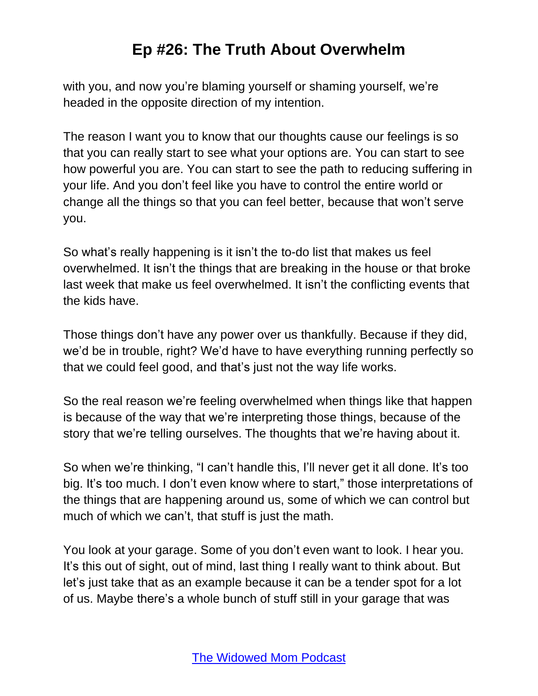with you, and now you're blaming yourself or shaming yourself, we're headed in the opposite direction of my intention.

The reason I want you to know that our thoughts cause our feelings is so that you can really start to see what your options are. You can start to see how powerful you are. You can start to see the path to reducing suffering in your life. And you don't feel like you have to control the entire world or change all the things so that you can feel better, because that won't serve you.

So what's really happening is it isn't the to-do list that makes us feel overwhelmed. It isn't the things that are breaking in the house or that broke last week that make us feel overwhelmed. It isn't the conflicting events that the kids have.

Those things don't have any power over us thankfully. Because if they did, we'd be in trouble, right? We'd have to have everything running perfectly so that we could feel good, and that's just not the way life works.

So the real reason we're feeling overwhelmed when things like that happen is because of the way that we're interpreting those things, because of the story that we're telling ourselves. The thoughts that we're having about it.

So when we're thinking, "I can't handle this, I'll never get it all done. It's too big. It's too much. I don't even know where to start," those interpretations of the things that are happening around us, some of which we can control but much of which we can't, that stuff is just the math.

You look at your garage. Some of you don't even want to look. I hear you. It's this out of sight, out of mind, last thing I really want to think about. But let's just take that as an example because it can be a tender spot for a lot of us. Maybe there's a whole bunch of stuff still in your garage that was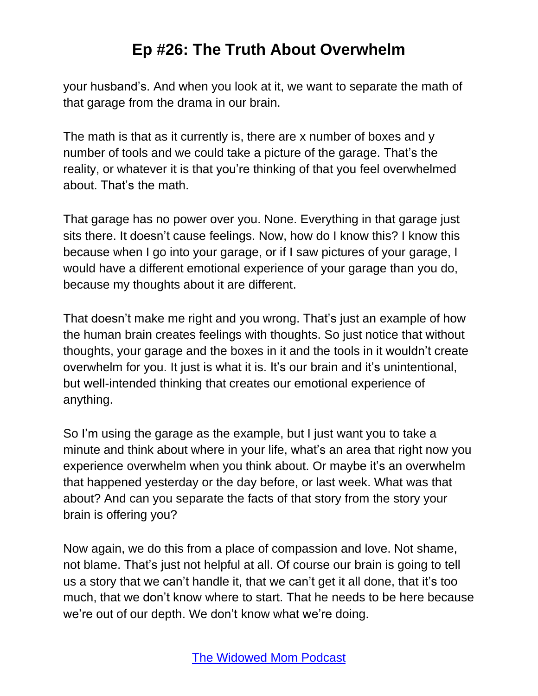your husband's. And when you look at it, we want to separate the math of that garage from the drama in our brain.

The math is that as it currently is, there are x number of boxes and y number of tools and we could take a picture of the garage. That's the reality, or whatever it is that you're thinking of that you feel overwhelmed about. That's the math.

That garage has no power over you. None. Everything in that garage just sits there. It doesn't cause feelings. Now, how do I know this? I know this because when I go into your garage, or if I saw pictures of your garage, I would have a different emotional experience of your garage than you do, because my thoughts about it are different.

That doesn't make me right and you wrong. That's just an example of how the human brain creates feelings with thoughts. So just notice that without thoughts, your garage and the boxes in it and the tools in it wouldn't create overwhelm for you. It just is what it is. It's our brain and it's unintentional, but well-intended thinking that creates our emotional experience of anything.

So I'm using the garage as the example, but I just want you to take a minute and think about where in your life, what's an area that right now you experience overwhelm when you think about. Or maybe it's an overwhelm that happened yesterday or the day before, or last week. What was that about? And can you separate the facts of that story from the story your brain is offering you?

Now again, we do this from a place of compassion and love. Not shame, not blame. That's just not helpful at all. Of course our brain is going to tell us a story that we can't handle it, that we can't get it all done, that it's too much, that we don't know where to start. That he needs to be here because we're out of our depth. We don't know what we're doing.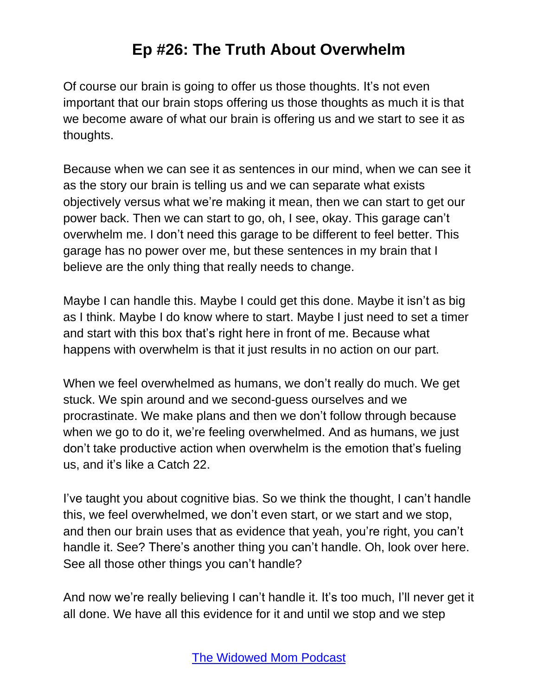Of course our brain is going to offer us those thoughts. It's not even important that our brain stops offering us those thoughts as much it is that we become aware of what our brain is offering us and we start to see it as thoughts.

Because when we can see it as sentences in our mind, when we can see it as the story our brain is telling us and we can separate what exists objectively versus what we're making it mean, then we can start to get our power back. Then we can start to go, oh, I see, okay. This garage can't overwhelm me. I don't need this garage to be different to feel better. This garage has no power over me, but these sentences in my brain that I believe are the only thing that really needs to change.

Maybe I can handle this. Maybe I could get this done. Maybe it isn't as big as I think. Maybe I do know where to start. Maybe I just need to set a timer and start with this box that's right here in front of me. Because what happens with overwhelm is that it just results in no action on our part.

When we feel overwhelmed as humans, we don't really do much. We get stuck. We spin around and we second-guess ourselves and we procrastinate. We make plans and then we don't follow through because when we go to do it, we're feeling overwhelmed. And as humans, we just don't take productive action when overwhelm is the emotion that's fueling us, and it's like a Catch 22.

I've taught you about cognitive bias. So we think the thought, I can't handle this, we feel overwhelmed, we don't even start, or we start and we stop, and then our brain uses that as evidence that yeah, you're right, you can't handle it. See? There's another thing you can't handle. Oh, look over here. See all those other things you can't handle?

And now we're really believing I can't handle it. It's too much, I'll never get it all done. We have all this evidence for it and until we stop and we step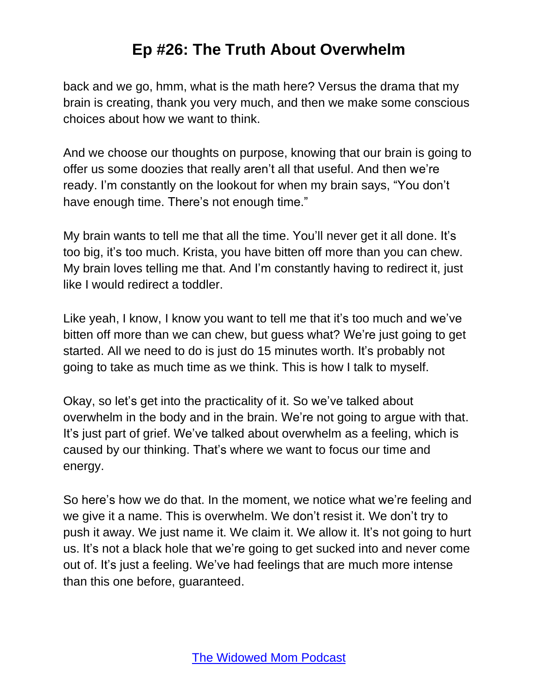back and we go, hmm, what is the math here? Versus the drama that my brain is creating, thank you very much, and then we make some conscious choices about how we want to think.

And we choose our thoughts on purpose, knowing that our brain is going to offer us some doozies that really aren't all that useful. And then we're ready. I'm constantly on the lookout for when my brain says, "You don't have enough time. There's not enough time."

My brain wants to tell me that all the time. You'll never get it all done. It's too big, it's too much. Krista, you have bitten off more than you can chew. My brain loves telling me that. And I'm constantly having to redirect it, just like I would redirect a toddler.

Like yeah, I know, I know you want to tell me that it's too much and we've bitten off more than we can chew, but guess what? We're just going to get started. All we need to do is just do 15 minutes worth. It's probably not going to take as much time as we think. This is how I talk to myself.

Okay, so let's get into the practicality of it. So we've talked about overwhelm in the body and in the brain. We're not going to argue with that. It's just part of grief. We've talked about overwhelm as a feeling, which is caused by our thinking. That's where we want to focus our time and energy.

So here's how we do that. In the moment, we notice what we're feeling and we give it a name. This is overwhelm. We don't resist it. We don't try to push it away. We just name it. We claim it. We allow it. It's not going to hurt us. It's not a black hole that we're going to get sucked into and never come out of. It's just a feeling. We've had feelings that are much more intense than this one before, guaranteed.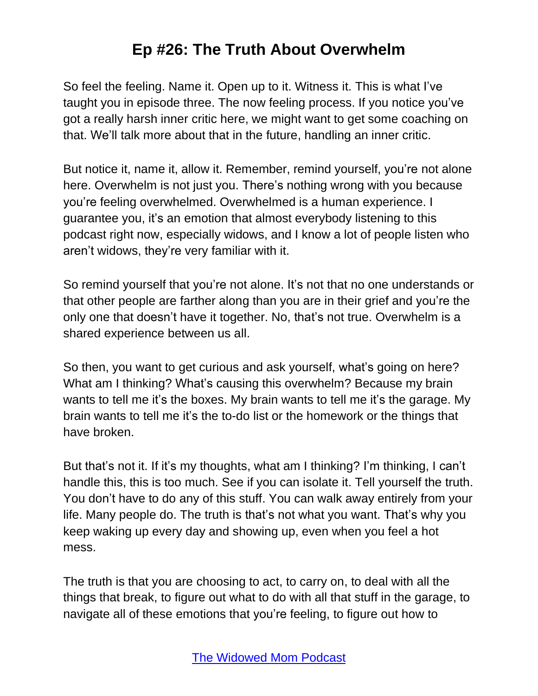So feel the feeling. Name it. Open up to it. Witness it. This is what I've taught you in episode three. The now feeling process. If you notice you've got a really harsh inner critic here, we might want to get some coaching on that. We'll talk more about that in the future, handling an inner critic.

But notice it, name it, allow it. Remember, remind yourself, you're not alone here. Overwhelm is not just you. There's nothing wrong with you because you're feeling overwhelmed. Overwhelmed is a human experience. I guarantee you, it's an emotion that almost everybody listening to this podcast right now, especially widows, and I know a lot of people listen who aren't widows, they're very familiar with it.

So remind yourself that you're not alone. It's not that no one understands or that other people are farther along than you are in their grief and you're the only one that doesn't have it together. No, that's not true. Overwhelm is a shared experience between us all.

So then, you want to get curious and ask yourself, what's going on here? What am I thinking? What's causing this overwhelm? Because my brain wants to tell me it's the boxes. My brain wants to tell me it's the garage. My brain wants to tell me it's the to-do list or the homework or the things that have broken.

But that's not it. If it's my thoughts, what am I thinking? I'm thinking, I can't handle this, this is too much. See if you can isolate it. Tell yourself the truth. You don't have to do any of this stuff. You can walk away entirely from your life. Many people do. The truth is that's not what you want. That's why you keep waking up every day and showing up, even when you feel a hot mess.

The truth is that you are choosing to act, to carry on, to deal with all the things that break, to figure out what to do with all that stuff in the garage, to navigate all of these emotions that you're feeling, to figure out how to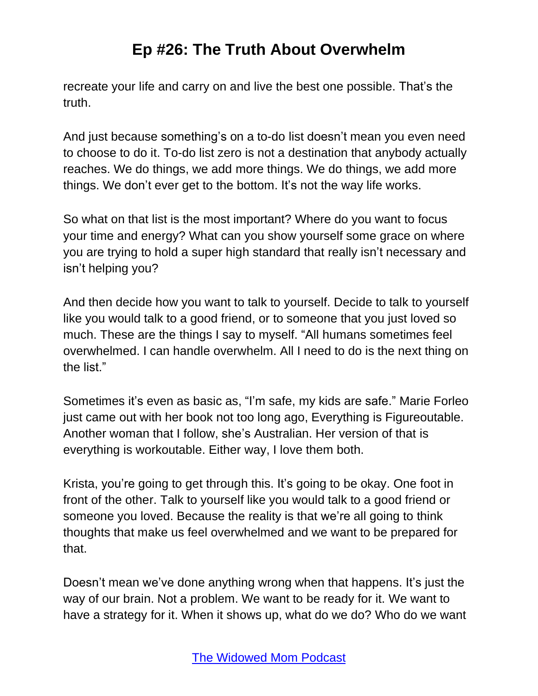recreate your life and carry on and live the best one possible. That's the truth.

And just because something's on a to-do list doesn't mean you even need to choose to do it. To-do list zero is not a destination that anybody actually reaches. We do things, we add more things. We do things, we add more things. We don't ever get to the bottom. It's not the way life works.

So what on that list is the most important? Where do you want to focus your time and energy? What can you show yourself some grace on where you are trying to hold a super high standard that really isn't necessary and isn't helping you?

And then decide how you want to talk to yourself. Decide to talk to yourself like you would talk to a good friend, or to someone that you just loved so much. These are the things I say to myself. "All humans sometimes feel overwhelmed. I can handle overwhelm. All I need to do is the next thing on the list."

Sometimes it's even as basic as, "I'm safe, my kids are safe." Marie Forleo just came out with her book not too long ago, Everything is Figureoutable. Another woman that I follow, she's Australian. Her version of that is everything is workoutable. Either way, I love them both.

Krista, you're going to get through this. It's going to be okay. One foot in front of the other. Talk to yourself like you would talk to a good friend or someone you loved. Because the reality is that we're all going to think thoughts that make us feel overwhelmed and we want to be prepared for that.

Doesn't mean we've done anything wrong when that happens. It's just the way of our brain. Not a problem. We want to be ready for it. We want to have a strategy for it. When it shows up, what do we do? Who do we want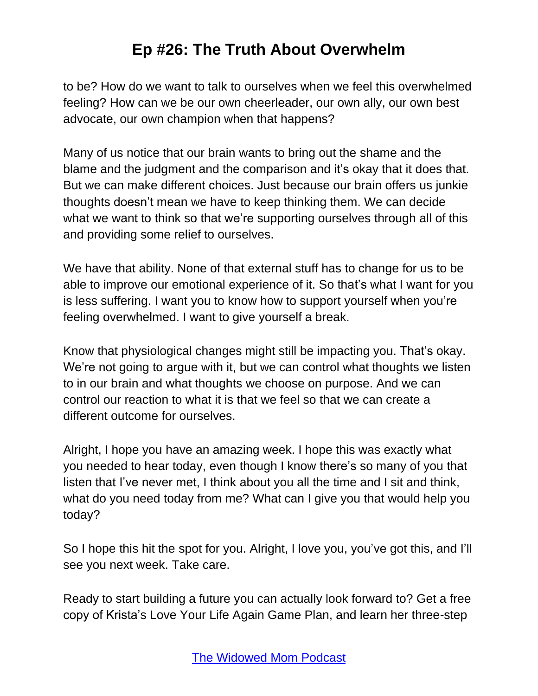to be? How do we want to talk to ourselves when we feel this overwhelmed feeling? How can we be our own cheerleader, our own ally, our own best advocate, our own champion when that happens?

Many of us notice that our brain wants to bring out the shame and the blame and the judgment and the comparison and it's okay that it does that. But we can make different choices. Just because our brain offers us junkie thoughts doesn't mean we have to keep thinking them. We can decide what we want to think so that we're supporting ourselves through all of this and providing some relief to ourselves.

We have that ability. None of that external stuff has to change for us to be able to improve our emotional experience of it. So that's what I want for you is less suffering. I want you to know how to support yourself when you're feeling overwhelmed. I want to give yourself a break.

Know that physiological changes might still be impacting you. That's okay. We're not going to argue with it, but we can control what thoughts we listen to in our brain and what thoughts we choose on purpose. And we can control our reaction to what it is that we feel so that we can create a different outcome for ourselves.

Alright, I hope you have an amazing week. I hope this was exactly what you needed to hear today, even though I know there's so many of you that listen that I've never met, I think about you all the time and I sit and think, what do you need today from me? What can I give you that would help you today?

So I hope this hit the spot for you. Alright, I love you, you've got this, and I'll see you next week. Take care.

Ready to start building a future you can actually look forward to? Get a free copy of Krista's Love Your Life Again Game Plan, and learn her three-step